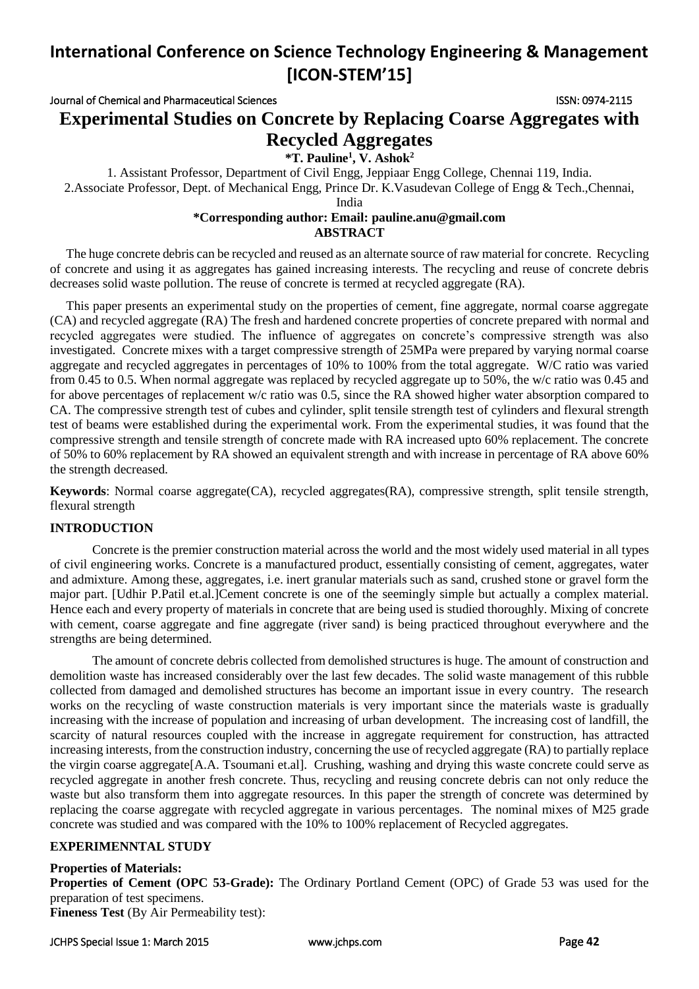Journal of Chemical and Pharmaceutical Sciences ISSN: 0974-2115

## **Experimental Studies on Concrete by Replacing Coarse Aggregates with Recycled Aggregates**

**\*T. Pauline<sup>1</sup> , V. Ashok<sup>2</sup>**

1. Assistant Professor, Department of Civil Engg, Jeppiaar Engg College, [Chennai](mailto:pauline.anu@gmail.com) 119, India. 2.Associate Professor, Dept. of Mechanical Engg, Prince Dr. K.Vasudevan College of Engg & Tech.,Chennai, India

### **\*Corresponding author: Email: [pauline.anu@gmail.com](mailto:pauline.anu@gmail.com) ABSTRACT**

 The huge concrete debris can be recycled and reused as an alternate source of raw material for concrete. Recycling of concrete and using it as aggregates has gained increasing interests. The recycling and reuse of concrete debris decreases solid waste pollution. The reuse of concrete is termed at recycled aggregate (RA).

 This paper presents an experimental study on the properties of cement, fine aggregate, normal coarse aggregate (CA) and recycled aggregate (RA) The fresh and hardened concrete properties of concrete prepared with normal and recycled aggregates were studied. The influence of aggregates on concrete's compressive strength was also investigated. Concrete mixes with a target compressive strength of 25MPa were prepared by varying normal coarse aggregate and recycled aggregates in percentages of 10% to 100% from the total aggregate. W/C ratio was varied from 0.45 to 0.5. When normal aggregate was replaced by recycled aggregate up to 50%, the w/c ratio was 0.45 and for above percentages of replacement w/c ratio was 0.5, since the RA showed higher water absorption compared to CA. The compressive strength test of cubes and cylinder, split tensile strength test of cylinders and flexural strength test of beams were established during the experimental work. From the experimental studies, it was found that the compressive strength and tensile strength of concrete made with RA increased upto 60% replacement. The concrete of 50% to 60% replacement by RA showed an equivalent strength and with increase in percentage of RA above 60% the strength decreased.

**Keywords**: Normal coarse aggregate(CA), recycled aggregates(RA), compressive strength, split tensile strength, flexural strength

### **INTRODUCTION**

Concrete is the premier construction material across the world and the most widely used material in all types of civil engineering works. Concrete is a manufactured product, essentially consisting of cement, aggregates, water and admixture. Among these, aggregates, i.e. inert granular materials such as sand, crushed stone or gravel form the major part. [Udhir P.Patil et.al.]Cement concrete is one of the seemingly simple but actually a complex material. Hence each and every property of materials in concrete that are being used is studied thoroughly. Mixing of concrete with cement, coarse aggregate and fine aggregate (river sand) is being practiced throughout everywhere and the strengths are being determined.

The amount of concrete debris collected from demolished structures is huge. The amount of construction and demolition waste has increased considerably over the last few decades. The solid waste management of this rubble collected from damaged and demolished structures has become an important issue in every country. The research works on the recycling of waste construction materials is very important since the materials waste is gradually increasing with the increase of population and increasing of urban development. The increasing cost of landfill, the scarcity of natural resources coupled with the increase in aggregate requirement for construction, has attracted increasing interests, from the construction industry, concerning the use of recycled aggregate (RA) to partially replace the virgin coarse aggregate[A.A. Tsoumani et.al]. Crushing, washing and drying this waste concrete could serve as recycled aggregate in another fresh concrete. Thus, recycling and reusing concrete debris can not only reduce the waste but also transform them into aggregate resources. In this paper the strength of concrete was determined by replacing the coarse aggregate with recycled aggregate in various percentages. The nominal mixes of M25 grade concrete was studied and was compared with the 10% to 100% replacement of Recycled aggregates.

### **EXPERIMENNTAL STUDY**

### **Properties of Materials:**

**Properties of Cement (OPC 53-Grade):** The Ordinary Portland Cement (OPC) of Grade 53 was used for the preparation of test specimens.

**Fineness Test** (By Air Permeability test):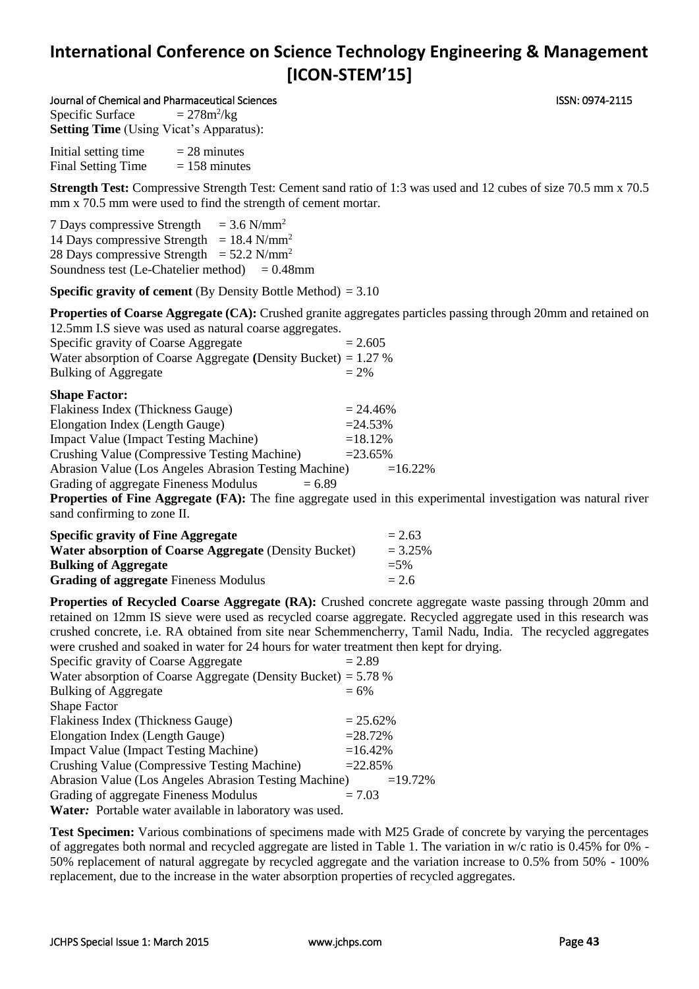#### Journal of Chemical and Pharmaceutical Sciences ISSN: 0974-2115

Specific Surface  $= 278m^2/kg$ **Setting Time** (Using Vicat's Apparatus):

Initial setting time  $= 28$  minutes Final Setting Time  $= 158$  minutes

**Strength Test:** Compressive Strength Test: Cement sand ratio of 1:3 was used and 12 cubes of size 70.5 mm x 70.5 mm x 70.5 mm were used to find the strength of cement mortar.

7 Days compressive Strength  $= 3.6$  N/mm<sup>2</sup> 14 Days compressive Strength =  $18.4$  N/mm<sup>2</sup> 28 Days compressive Strength =  $52.2$  N/mm<sup>2</sup> Soundness test (Le-Chatelier method)  $= 0.48$ mm

**Specific gravity of cement** (By Density Bottle Method)  $= 3.10$ 

**Properties of Coarse Aggregate (CA):** Crushed granite aggregates particles passing through 20mm and retained on 12.5mm I.S sieve was used as natural coarse aggregates.

| Specific gravity of Coarse Aggregate                             | $= 2.605$ |
|------------------------------------------------------------------|-----------|
| Water absorption of Coarse Aggregate (Density Bucket) = $1.27$ % |           |
| <b>Bulking of Aggregate</b>                                      | $= 2\%$   |

| Flakiness Index (Thickness Gauge)                     | $= 24.46\%$ |
|-------------------------------------------------------|-------------|
| Elongation Index (Length Gauge)                       | $= 24.53\%$ |
| <b>Impact Value (Impact Testing Machine)</b>          | $=18.12%$   |
| Crushing Value (Compressive Testing Machine)          | $= 23.65\%$ |
| Abrasion Value (Los Angeles Abrasion Testing Machine) | $=16.22\%$  |
| Grading of aggregate Fineness Modulus<br>$= 6.89$     |             |

**Properties of Fine Aggregate (FA):** The fine aggregate used in this experimental investigation was natural river sand confirming to zone II.

| <b>Specific gravity of Fine Aggregate</b>             | $= 2.63$   |
|-------------------------------------------------------|------------|
| Water absorption of Coarse Aggregate (Density Bucket) | $= 3.25\%$ |
| <b>Bulking of Aggregate</b>                           | $= 5\%$    |
| <b>Grading of aggregate Fineness Modulus</b>          | $= 2.6$    |

**Properties of Recycled Coarse Aggregate (RA):** Crushed concrete aggregate waste passing through 20mm and retained on 12mm IS sieve were used as recycled coarse aggregate. Recycled aggregate used in this research was crushed concrete, i.e. RA obtained from site near Schemmencherry, Tamil Nadu, India. The recycled aggregates were crushed and soaked in water for 24 hours for water treatment then kept for drying.

| Specific gravity of Coarse Aggregate                             | $= 2.89$    |
|------------------------------------------------------------------|-------------|
| Water absorption of Coarse Aggregate (Density Bucket) = $5.78\%$ |             |
| <b>Bulking of Aggregate</b>                                      | $= 6\%$     |
| <b>Shape Factor</b>                                              |             |
| Flakiness Index (Thickness Gauge)                                | $= 25.62\%$ |
| Elongation Index (Length Gauge)                                  | $= 28.72%$  |
| <b>Impact Value (Impact Testing Machine)</b>                     | $=16.42%$   |
| Crushing Value (Compressive Testing Machine)                     | $=22.85%$   |
| Abrasion Value (Los Angeles Abrasion Testing Machine)            | $=19.72%$   |
| Grading of aggregate Fineness Modulus                            | $= 7.03$    |
| Water: Portable water available in laboratory was used.          |             |

**Test Specimen:** Various combinations of specimens made with M25 Grade of concrete by varying the percentages of aggregates both normal and recycled aggregate are listed in Table 1. The variation in w/c ratio is 0.45% for 0% - 50% replacement of natural aggregate by recycled aggregate and the variation increase to 0.5% from 50% - 100% replacement, due to the increase in the water absorption properties of recycled aggregates.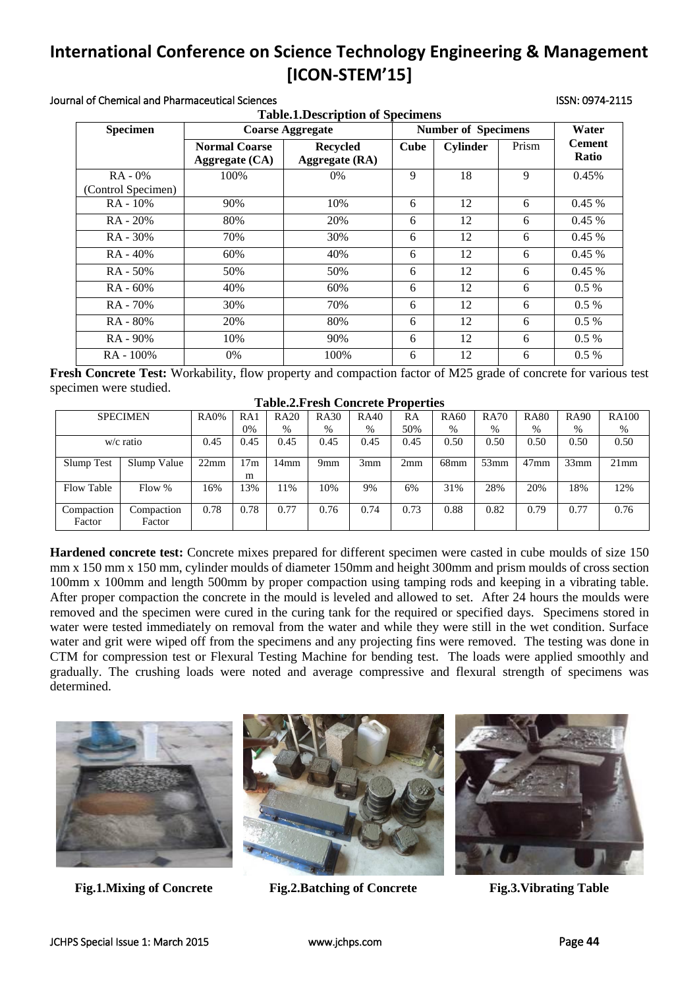#### Journal of Chemical and Pharmaceutical Sciences ISSN: 0974-2115

| <b>Table.1. Description of Specimens</b> |                                        |                                          |                            |                 |       |                        |  |  |
|------------------------------------------|----------------------------------------|------------------------------------------|----------------------------|-----------------|-------|------------------------|--|--|
| <b>Specimen</b>                          | <b>Coarse Aggregate</b>                |                                          | <b>Number of Specimens</b> |                 |       |                        |  |  |
|                                          | <b>Normal Coarse</b><br>Aggregate (CA) | <b>Recycled</b><br><b>Aggregate (RA)</b> | <b>Cube</b>                | <b>Cylinder</b> | Prism | <b>Cement</b><br>Ratio |  |  |
| $RA - 0\%$                               | 100%                                   | $0\%$                                    | 9                          | 18              | 9     | 0.45%                  |  |  |
| (Control Specimen)                       |                                        |                                          |                            |                 |       |                        |  |  |
| RA - 10%                                 | 90%                                    | 10%                                      | 6                          | 12              | 6     | 0.45%                  |  |  |
| RA - 20%                                 | 80%                                    | 20%                                      | 6                          | 12              | 6     | 0.45%                  |  |  |
| $RA - 30%$                               | 70%                                    | 30%                                      | 6                          | 12              | 6     | 0.45%                  |  |  |
| $RA - 40%$                               | 60%                                    | 40%                                      | 6                          | 12              | 6     | 0.45%                  |  |  |
| RA - 50%                                 | 50%                                    | 50%                                      | 6                          | 12              | 6     | 0.45%                  |  |  |
| $RA - 60%$                               | 40%                                    | 60%                                      | 6                          | 12              | 6     | $0.5\%$                |  |  |
| RA - 70%                                 | 30%                                    | 70%                                      | 6                          | 12              | 6     | $0.5\%$                |  |  |
| RA - 80%                                 | 20%                                    | 80%                                      | 6                          | 12              | 6     | $0.5\%$                |  |  |
| RA - 90%                                 | 10%                                    | 90%                                      | 6                          | 12              | 6     | $0.5\%$                |  |  |
| RA - 100%                                | $0\%$                                  | 100%                                     | 6                          | 12              | 6     | $0.5\%$                |  |  |

**Fresh Concrete Test:** Workability, flow property and compaction factor of M25 grade of concrete for various test specimen were studied.

| <b>Table.2.Fresh Concrete Properties</b> |  |  |  |
|------------------------------------------|--|--|--|
|------------------------------------------|--|--|--|

|                      | <b>SPECIMEN</b>      | <b>RA0%</b> | RA1      | <b>RA20</b> | <b>RA30</b>     | <b>RA40</b> | RA   | <b>RA60</b> | <b>RA70</b> | <b>RA80</b> | <b>RA90</b> | <b>RA100</b> |
|----------------------|----------------------|-------------|----------|-------------|-----------------|-------------|------|-------------|-------------|-------------|-------------|--------------|
|                      |                      |             | 0%       | %           | $\%$            | $\%$        | 50%  | $\%$        | %           | $\%$        | $\%$        | %            |
|                      | $w/c$ ratio          | 0.45        | 0.45     | 0.45        | 0.45            | 0.45        | 0.45 | 0.50        | 0.50        | 0.50        | 0.50        | 0.50         |
| Slump Test           | Slump Value          | 22mm        | 17m<br>m | 14mm        | 9 <sub>mm</sub> | 3mm         | 2mm  | $68$ mm     | 53mm        | $47$ mm     | 33mm        | 21mm         |
| Flow Table           | Flow %               | 16%         | 13%      | 11%         | 10%             | 9%          | 6%   | 31%         | 28%         | 20%         | 18%         | 12%          |
| Compaction<br>Factor | Compaction<br>Factor | 0.78        | 0.78     | 0.77        | 0.76            | 0.74        | 0.73 | 0.88        | 0.82        | 0.79        | 0.77        | 0.76         |

**Hardened concrete test:** Concrete mixes prepared for different specimen were casted in cube moulds of size 150 mm x 150 mm x 150 mm, cylinder moulds of diameter 150mm and height 300mm and prism moulds of cross section 100mm x 100mm and length 500mm by proper compaction using tamping rods and keeping in a vibrating table. After proper compaction the concrete in the mould is leveled and allowed to set. After 24 hours the moulds were removed and the specimen were cured in the curing tank for the required or specified days. Specimens stored in water were tested immediately on removal from the water and while they were still in the wet condition. Surface water and grit were wiped off from the specimens and any projecting fins were removed. The testing was done in CTM for compression test or Flexural Testing Machine for bending test. The loads were applied smoothly and gradually. The crushing loads were noted and average compressive and flexural strength of specimens was determined.





**Fig.1.Mixing of Concrete Fig.2.Batching of Concrete Fig.3.Vibrating Table**

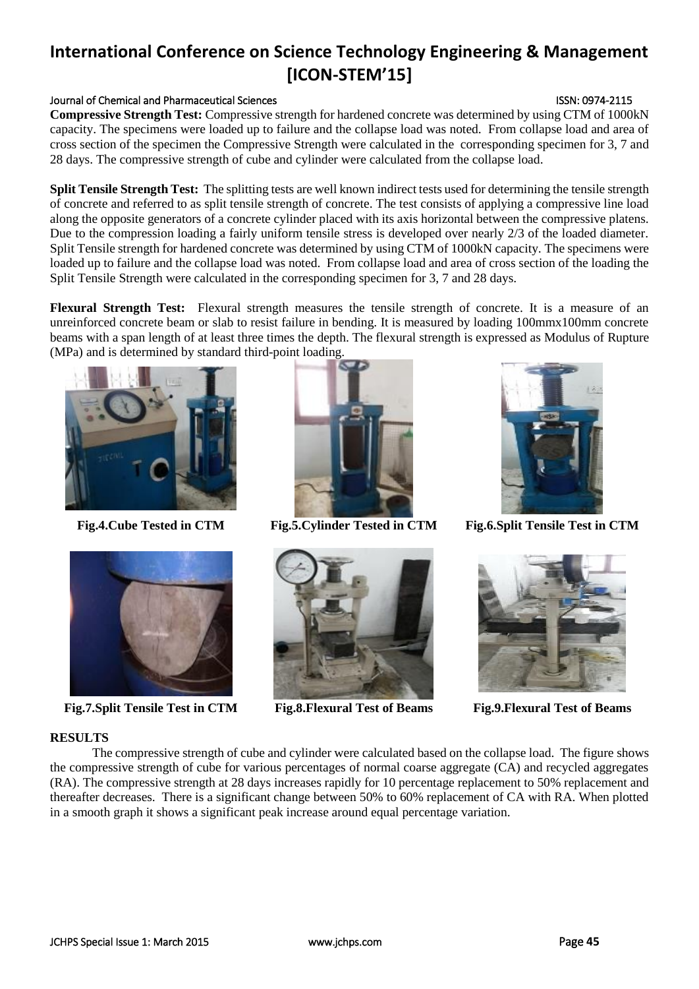### Journal of Chemical and Pharmaceutical Sciences **ISSN: 0974-2115** ISSN: 0974-2115

**Compressive Strength Test:** Compressive strength for hardened concrete was determined by using CTM of 1000kN capacity. The specimens were loaded up to failure and the collapse load was noted. From collapse load and area of cross section of the specimen the Compressive Strength were calculated in the corresponding specimen for 3, 7 and 28 days. The compressive strength of cube and cylinder were calculated from the collapse load.

**Split Tensile Strength Test:** The splitting tests are well known indirect tests used for determining the tensile strength of concrete and referred to as split tensile strength of concrete. The test consists of applying a compressive line load along the opposite generators of a concrete cylinder placed with its axis horizontal between the compressive platens. Due to the compression loading a fairly uniform tensile stress is developed over nearly 2/3 of the loaded diameter. Split Tensile strength for hardened concrete was determined by using CTM of 1000kN capacity. The specimens were loaded up to failure and the collapse load was noted. From collapse load and area of cross section of the loading the Split Tensile Strength were calculated in the corresponding specimen for 3, 7 and 28 days.

**Flexural Strength Test:** Flexural strength measures the tensile strength of concrete. It is a measure of an unreinforced concrete beam or slab to resist failure in bending. It is measured by loading 100mmx100mm concrete beams with a span length of at least three times the depth. The flexural strength is expressed as Modulus of Rupture (MPa) and is determined by standard third-point loading.





**Fig.7.Split Tensile Test in CTM Fig.8.Flexural Test of Beams Fig.9.Flexural Test of Beams**







**Fig.4.Cube Tested in CTM Fig.5.Cylinder Tested in CTM Fig.6.Split Tensile Test in CTM**



The compressive strength of cube and cylinder were calculated based on the collapse load. The figure shows the compressive strength of cube for various percentages of normal coarse aggregate (CA) and recycled aggregates (RA). The compressive strength at 28 days increases rapidly for 10 percentage replacement to 50% replacement and thereafter decreases. There is a significant change between 50% to 60% replacement of CA with RA. When plotted in a smooth graph it shows a significant peak increase around equal percentage variation.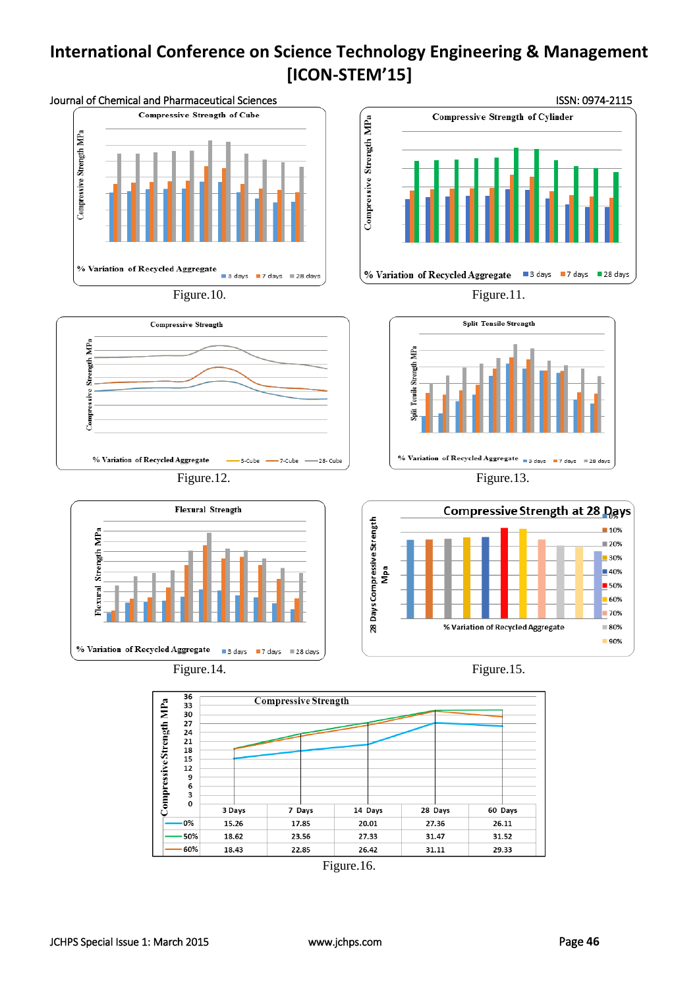

Figure.16.

14 Days

20.01

27.33

26.42

28 Days

27.36

31.47

31.11

60 Days

26.11

31.52

29.33

7 Days

17.85

23.56

22.85

 $\pmb{\mathsf{o}}$ 

 $n%$ 

50%

 $-60%$ 

3 Days

15.26

18.62

18.43